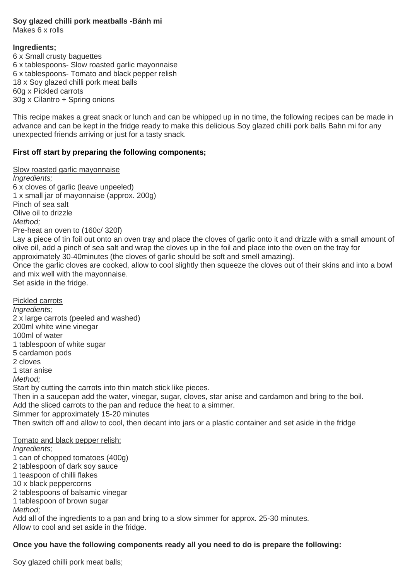## **Soy glazed chilli pork meatballs -Bánh mi**

Makes 6 x rolls

#### **Ingredients;**

6 x Small crusty baguettes 6 x tablespoons- Slow roasted garlic mayonnaise 6 x tablespoons- Tomato and black pepper relish 18 x Soy glazed chilli pork meat balls 60g x Pickled carrots 30g x Cilantro + Spring onions

This recipe makes a great snack or lunch and can be whipped up in no time, the following recipes can be made in advance and can be kept in the fridge ready to make this delicious Soy glazed chilli pork balls Bahn mi for any unexpected friends arriving or just for a tasty snack.

## **First off start by preparing the following components;**

Slow roasted garlic mayonnaise

*Ingredients;* 6 x cloves of garlic (leave unpeeled) 1 x small jar of mayonnaise (approx. 200g) Pinch of sea salt Olive oil to drizzle *Method;* Pre-heat an oven to (160c/ 320f) Lay a piece of tin foil out onto an oven tray and place the cloves of garlic onto it and drizzle with a small amount of olive oil, add a pinch of sea salt and wrap the cloves up in the foil and place into the oven on the tray for approximately 30-40minutes (the cloves of garlic should be soft and smell amazing). Once the garlic cloves are cooked, allow to cool slightly then squeeze the cloves out of their skins and into a bowl and mix well with the mayonnaise. Set aside in the fridge. Pickled carrots *Ingredients;* 2 x large carrots (peeled and washed) 200ml white wine vinegar 100ml of water 1 tablespoon of white sugar 5 cardamon pods 2 cloves 1 star anise *Method;* Start by cutting the carrots into thin match stick like pieces. Then in a saucepan add the water, vinegar, sugar, cloves, star anise and cardamon and bring to the boil. Add the sliced carrots to the pan and reduce the heat to a simmer. Simmer for approximately 15-20 minutes Then switch off and allow to cool, then decant into jars or a plastic container and set aside in the fridge Tomato and black pepper relish; *Ingredients;* 1 can of chopped tomatoes (400g) 2 tablespoon of dark soy sauce 1 teaspoon of chilli flakes 10 x black peppercorns 2 tablespoons of balsamic vinegar

1 tablespoon of brown sugar

*Method;*

Add all of the ingredients to a pan and bring to a slow simmer for approx. 25-30 minutes. Allow to cool and set aside in the fridge.

## **Once you have the following components ready all you need to do is prepare the following:**

Soy glazed chilli pork meat balls;